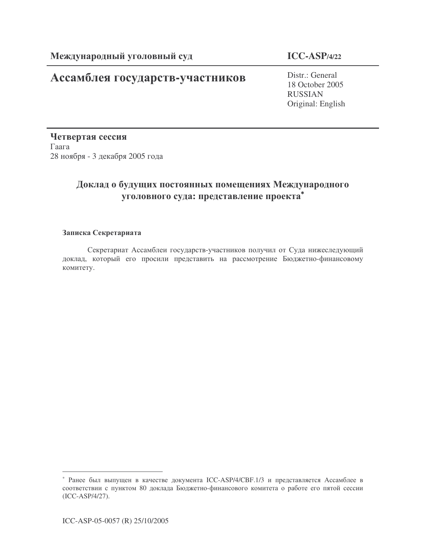# Ассамблея государств-участников

# **ICC-ASP/4/22**

Distr.: General 18 October 2005 RUSSIAN Original: English

Четвертая сессия  $\Gamma$ аага 28 ноября - 3 декабря 2005 года

# Доклад о будущих постоянных помещениях Международного уголовного суда: представление проекта<sup>\*</sup>

### Записка Секретариата

Секретариат Ассамблеи государств-участников получил от Суда нижеследующий доклад, который его просили представить на рассмотрение Бюджетно-финансовому комитету.

<sup>\*</sup> Ранее был выпущен в качестве документа ICC-ASP/4/CBF.1/3 и представляется Ассамблее в соответствии с пунктом 80 доклада Бюджетно-финансового комитета о работе его пятой сессии (ICC-ASP/4/27).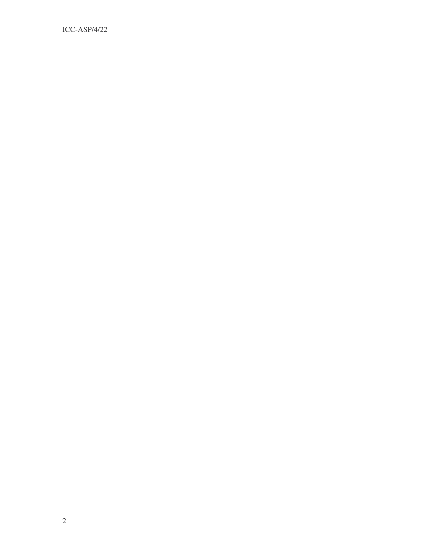ICC-ASP/4/22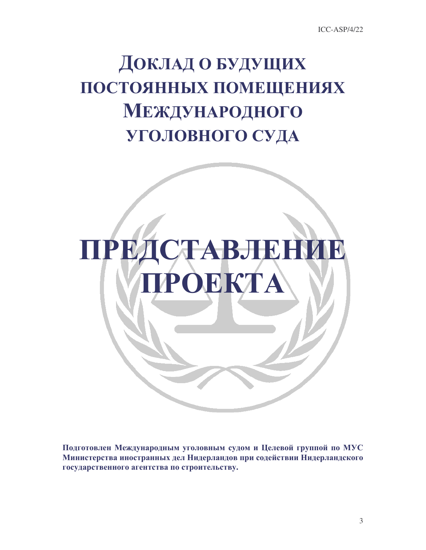# ДОКЛАД О БУДУЩИХ ПОСТОЯННЫХ ПОМЕЩЕНИЯХ **МЕЖДУНАРОДНОГО** УГОЛОВНОГО СУДА



Подготовлен Международным уголовным судом и Целевой группой по МУС Министерства иностранных дел Нидерландов при содействии Нидерландского государственного агентства по строительству.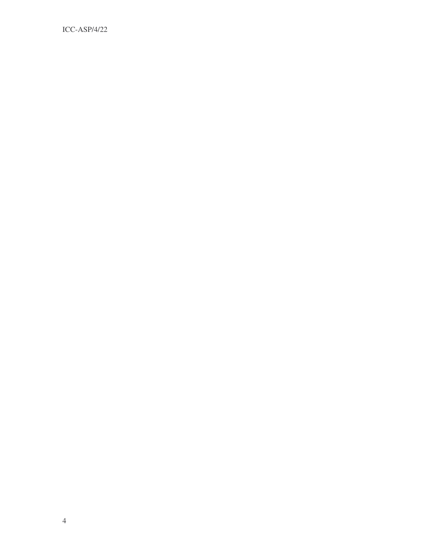ICC-ASP/4/22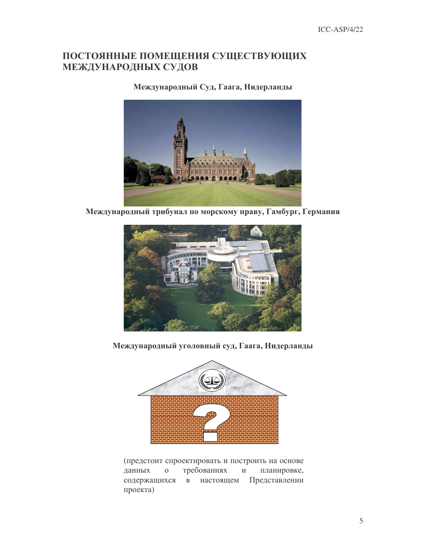# ПОСТОЯННЫЕ ПОМЕЩЕНИЯ СУЩЕСТВУЮЩИХ **МЕЖДУНАРОДНЫХ СУДОВ**

Международный Суд, Гаага, Нидерланды



Международный трибунал по морскому праву, Гамбург, Германия



Международный уголовный суд, Гаага, Нидерланды



(предстоит спроектировать и построить на основе требованиях планировке, данных  $\overline{O}$  $\overline{M}$ содержащихся  $\mathbf{B}$ настоящем Представлении проекта)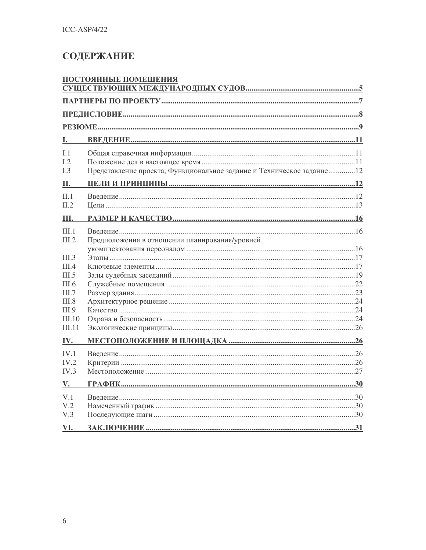# **СОДЕРЖАНИЕ**

| <b>ПОСТОЯННЫЕ ПОМЕЩЕНИЯ</b>              |                                                                       |  |  |  |  |  |
|------------------------------------------|-----------------------------------------------------------------------|--|--|--|--|--|
|                                          |                                                                       |  |  |  |  |  |
|                                          |                                                                       |  |  |  |  |  |
|                                          |                                                                       |  |  |  |  |  |
| <b>I.</b>                                |                                                                       |  |  |  |  |  |
| I.1<br>12<br>L <sub>3</sub>              | Представление проекта, Функциональное задание и Техническое задание12 |  |  |  |  |  |
| П.                                       |                                                                       |  |  |  |  |  |
| II.1<br>II.2                             |                                                                       |  |  |  |  |  |
| Ш.                                       |                                                                       |  |  |  |  |  |
| III.1<br>III.2                           | Предположения в отношении планирования/уровней                        |  |  |  |  |  |
| III.3<br>III.4                           |                                                                       |  |  |  |  |  |
| III.5                                    |                                                                       |  |  |  |  |  |
| III.6                                    |                                                                       |  |  |  |  |  |
| III.7                                    |                                                                       |  |  |  |  |  |
| III.8                                    |                                                                       |  |  |  |  |  |
| III.9<br>III.10                          |                                                                       |  |  |  |  |  |
| III.11                                   |                                                                       |  |  |  |  |  |
| IV.                                      |                                                                       |  |  |  |  |  |
| IV.1<br>IV.2<br>IV.3                     |                                                                       |  |  |  |  |  |
| $V_{\bullet}$                            |                                                                       |  |  |  |  |  |
| V <sub>1</sub><br>V <sub>.2</sub><br>V.3 |                                                                       |  |  |  |  |  |
| VI.                                      |                                                                       |  |  |  |  |  |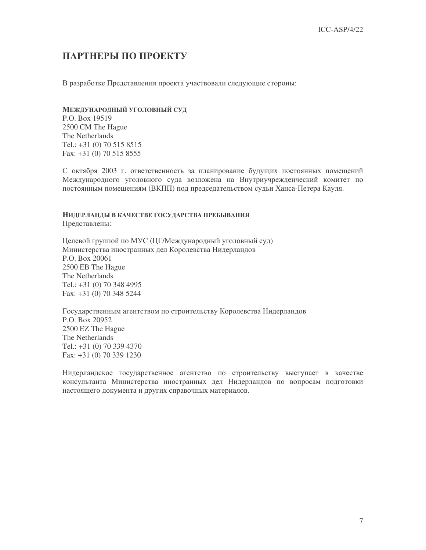# ПАРТНЕРЫ ПО ПРОЕКТУ

В разработке Представления проекта участвовали следующие стороны:

### МЕЖДУНАРОДНЫЙ УГОЛОВНЫЙ СУД P.O. Box 19519 2500 CM The Hague The Netherlands Tel.: +31 (0) 70 515 8515 Fax: +31 (0) 70 515 8555

С октября 2003 г. ответственность за планирование будущих постоянных помещений Международного уголовного суда возложена на Внутриучрежденческий комитет по постоянным помещениям (ВКПП) под председательством судьи Ханса-Петера Кауля.

### НИДЕРЛАНДЫ В КАЧЕСТВЕ ГОСУДАРСТВА ПРЕБЫВАНИЯ

Представлены:

Целевой группой по МУС (ЦГ/Международный уголовный суд) Министерства иностранных дел Королевства Нидерландов P.O. Box 20061 2500 EB The Hague The Netherlands Tel.: +31 (0) 70 348 4995 Fax: +31 (0) 70 348 5244

Государственным агентством по строительству Королевства Нидерландов P.O. Box 20952 2500 EZ The Hague The Netherlands Tel.: +31 (0) 70 339 4370 Fax: +31 (0) 70 339 1230

Нидерландское государственное агентство по строительству выступает в качестве консультанта Министерства иностранных дел Нидерландов по вопросам подготовки настоящего документа и других справочных материалов.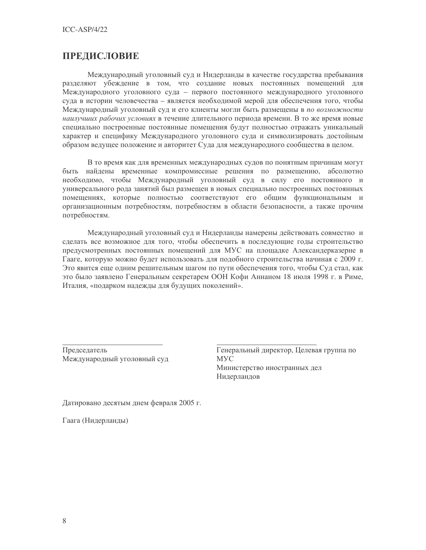### ПРЕДИСЛОВИЕ

Международный уголовный суд и Нидерланды в качестве государства пребывания разделяют убеждение в том, что создание новых постоянных помещений для Международного уголовного суда - первого постоянного международного уголовного суда в истории человечества - является необходимой мерой для обеспечения того, чтобы Международный уголовный суд и его клиенты могли быть размещены в по возможности наилучших рабочих условиях в течение длительного периода времени. В то же время новые специально построенные постоянные помещения будут полностью отражать уникальный характер и специфику Международного уголовного суда и символизировать достойным образом ведущее положение и авторитет Суда для международного сообщества в целом.

В то время как для временных международных судов по понятным причинам могут быть найдены временные компромиссные решения по размещению, абсолютно необходимо, чтобы Международный уголовный суд в силу его постоянного и универсального рода занятий был размещен в новых специально построенных постоянных помещениях, которые полностью соответствуют его общим функциональным и организационным потребностям, потребностям в области безопасности, а также прочим потребностям.

Международный уголовный суд и Нидерланды намерены действовать совместно и сделать все возможное для того, чтобы обеспечить в последующие годы строительство предусмотренных постоянных помещений для МУС на площадке Александерказерне в Гааге, которую можно будет использовать для подобного строительства начиная с 2009 г. Это явится еще одним решительным шагом по пути обеспечения того, чтобы Суд стал, как это было заявлено Генеральным секретарем ООН Кофи Аннаном 18 июля 1998 г. в Риме, Италия, «подарком надежды для будущих поколений».

Председатель Международный уголовный суд Генеральный директор, Целевая группа по **MYC** Министерство иностранных дел Нидерландов

Датировано десятым днем февраля 2005 г.

Гаага (Нидерланды)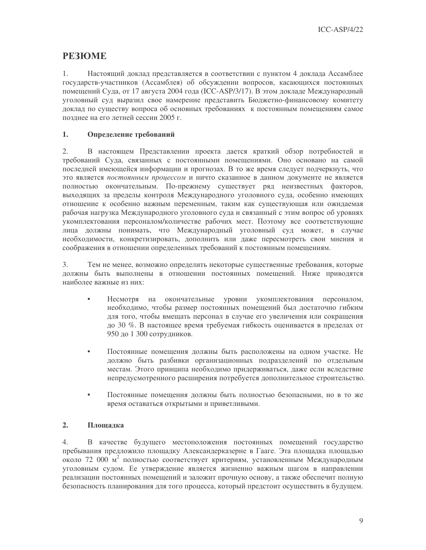# **PE3IOME**

 $1<sup>1</sup>$ Настоящий доклад представляется в соответствии с пунктом 4 доклада Ассамблее государств-участников (Ассамблея) об обсуждении вопросов, касающихся постоянных помещений Суда, от 17 августа 2004 года (ICC-ASP/3/17). В этом докладе Международный уголовный суд выразил свое намерение представить Бюджетно-финансовому комитету доклад по существу вопроса об основных требованиях к постоянным помещениям самое позднее на его летней сессии 2005 г.

### $\mathbf{1}$ . Определение требований

 $2^{1}$ В настоящем Представлении проекта дается краткий обзор потребностей и требований Суда, связанных с постоянными помещениями. Оно основано на самой последней имеющейся информации и прогнозах. В то же время следует подчеркнуть, что это является постоянным проиессом и ничто сказанное в данном документе не является полностью окончательным. По-прежнему существует ряд неизвестных факторов, выходящих за пределы контроля Международного уголовного суда, особенно имеющих отношение к особенно важным переменным, таким как существующая или ожидаемая рабочая нагрузка Международного уголовного суда и связанный с этим вопрос об уровнях укомплектования персоналом/количестве рабочих мест. Поэтому все соответствующие лица должны понимать, что Международный уголовный суд может, в случае необходимости, конкретизировать, дополнить или даже пересмотреть свои мнения и соображения в отношении определенных требований к постоянным помещениям.

3. Тем не менее, возможно определить некоторые существенные требования, которые должны быть выполнены в отношении постоянных помещений. Ниже приводятся наиболее важные из них:

- $\bullet$ Несмотря на окончательные уровни укомплектования персоналом, необходимо, чтобы размер постоянных помещений был достаточно гибким для того, чтобы вмещать персонал в случае его увеличения или сокращения до 30 %. В настоящее время требуемая гибкость оценивается в пределах от 950 до 1 300 сотрудников.
- $\bullet$ Постоянные помещения должны быть расположены на одном участке. Не должно быть разбивки организационных подразделений по отдельным местам. Этого принципа необходимо придерживаться, даже если вследствие непредусмотренного расширения потребуется дополнительное строительство.
- $\bullet$ Постоянные помещения должны быть полностью безопасными, но в то же время оставаться открытыми и приветливыми.

### $2.$ Плошалка

В качестве будущего местоположения постоянных помещений государство  $\overline{4}$ пребывания предложило площадку Александерказерне в Гааге. Эта площадка площадью около 72 000 м<sup>2</sup> полностью соответствует критериям, установленным Международным уголовным судом. Ее утверждение является жизненно важным шагом в направлении реализации постоянных помещений и заложит прочную основу, а также обеспечит полную безопасность планирования для того процесса, который предстоит осуществить в будущем.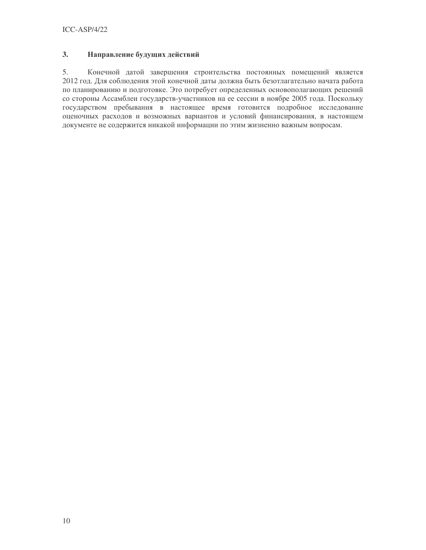### $3.$ Направление будущих действий

5. Конечной датой завершения строительства постоянных помещений является 2012 год. Для соблюдения этой конечной даты должна быть безотлагательно начата работа по планированию и подготовке. Это потребует определенных основополагающих решений со стороны Ассамблеи государств-участников на ее сессии в ноябре 2005 года. Поскольку государством пребывания в настоящее время готовится подробное исследование оценочных расходов и возможных вариантов и условий финансирования, в настоящем документе не содержится никакой информации по этим жизненно важным вопросам.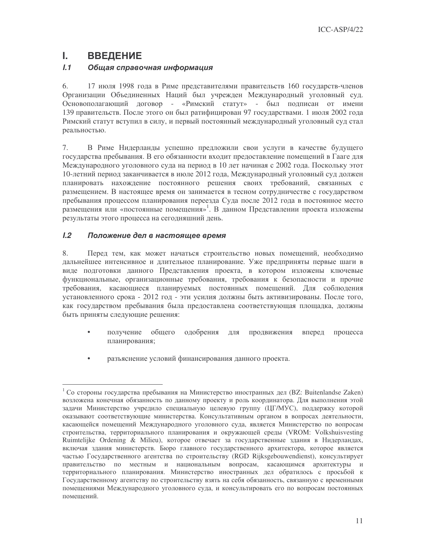### L. **ВВЕДЕНИЕ**

### $1.1$ Общая справочная информация

6. 17 июля 1998 года в Риме представителями правительств 160 государств-членов Организации Объединенных Наций был учрежден Международный уголовный суд. Основополагающий договор - «Римский статут» - был подписан от имени 139 правительств. После этого он был ратифицирован 97 государствами. 1 июля 2002 года Римский статут вступил в силу, и первый постоянный международный уголовный суд стал реальностью.

 $7.$ В Риме Нидерланды успешно предложили свои услуги в качестве будущего государства пребывания. В его обязанности входит предоставление помещений в Гааге для Международного уголовного суда на период в 10 лет начиная с 2002 года. Поскольку этот 10-летний период заканчивается в июле 2012 года, Международный уголовный суд должен планировать нахождение постоянного решения своих требований, связанных с размещением. В настоящее время он занимается в тесном сотрудничестве с государством пребывания процессом планирования переезда Суда после 2012 года в постоянное место размещения или «постоянные помещения»<sup>1</sup>. В данном Представлении проекта изложены результаты этого процесса на сегодняшний день.

### $1.2<sup>2</sup>$ Положение дел в настоящее время

8. Перед тем, как может начаться строительство новых помещений, необходимо дальнейшее интенсивное и длительное планирование. Уже предприняты первые шаги в виде подготовки данного Представления проекта, в котором изложены ключевые функциональные, организационные требования, требования к безопасности и прочие требования, касающиеся планируемых постоянных помещений. Для соблюдения установленного срока - 2012 год - эти усилия должны быть активизированы. После того, как государством пребывания была предоставлена соответствующая площадка, должны быть приняты следующие решения:

- получение общего одобрения для продвижения вперед процесса  $\bullet$ планирования:
- $\bullet$ разъяснение условий финансирования данного проекта.

<sup>&</sup>lt;sup>1</sup> Со стороны государства пребывания на Министерство иностранных дел (BZ: Buitenlandse Zaken) возложена конечная обязанность по данному проекту и роль координатора. Для выполнения этой задачи Министерство учредило специальную целевую группу (ЦГ/МУС), поддержку которой оказывают соответствующие министерства. Консультативным органом в вопросах деятельности, касающейся помещений Международного уголовного суда, является Министерство по вопросам строительства, территориального планирования и окружающей среды (VROM: Volkshuisvesting Ruimtelijke Ordening & Milieu), которое отвечает за государственные здания в Нидерландах, включая здания министерств. Бюро главного государственного архитектора, которое является частью Государственного агентства по строительству (RGD Rijksgebouwendienst), консультирует правительство по местным и национальным вопросам, касающимся архитектуры и территориального планирования. Министерство иностранных дел обратилось с просьбой к Государственному агентству по строительству взять на себя обязанность, связанную с временными помещениями Международного уголовного суда, и консультировать его по вопросам постоянных помешений.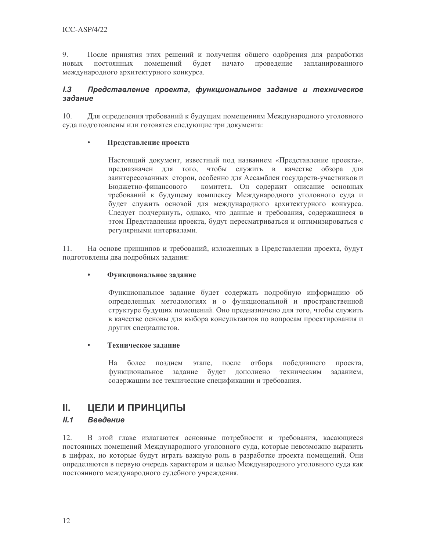9. После принятия этих решений и получения общего одобрения для разработки постоянных помещений будет начато проведение НОВЫХ запланированного международного архитектурного конкурса.

### $1.3$ Представление проекта, функциональное задание и техническое задание

Для определения требований к будущим помещениям Международного уголовного  $10.$ суда подготовлены или готовятся следующие три документа:

### Представление проекта

Настоящий документ, известный под названием «Представление проекта», предназначен для того, чтобы служить в качестве обзора для заинтересованных сторон, особенно для Ассамблеи государств-участников и комитета. Он содержит описание основных Бюджетно-финансового требований к будущему комплексу Международного уголовного суда и будет служить основой для международного архитектурного конкурса. Следует подчеркнуть, однако, что данные и требования, содержащиеся в этом Представлении проекта, будут пересматриваться и оптимизироваться с регулярными интервалами.

На основе принципов и требований, изложенных в Представлении проекта, будут 11. подготовлены два подробных задания:

### Функциональное задание

Функциональное задание будет содержать подробную информацию об определенных методологиях и о функциональной и пространственной структуре будущих помещений. Оно предназначено для того, чтобы служить в качестве основы для выбора консультантов по вопросам проектирования и других специалистов.

#### Техническое задание  $\bullet$

 $Ha$ более позднем этапе, после отбора победившего проекта. функциональное задание будет дополнено техническим заланием. содержащим все технические спецификации и требования.

### ЦЕЛИ И ПРИНЦИПЫ II.

### $II.1$ **Введение**

12. В этой главе излагаются основные потребности и требования, касающиеся постоянных помещений Международного уголовного суда, которые невозможно выразить в цифрах, но которые будут играть важную роль в разработке проекта помещений. Они определяются в первую очередь характером и целью Международного уголовного суда как постоянного международного судебного учреждения.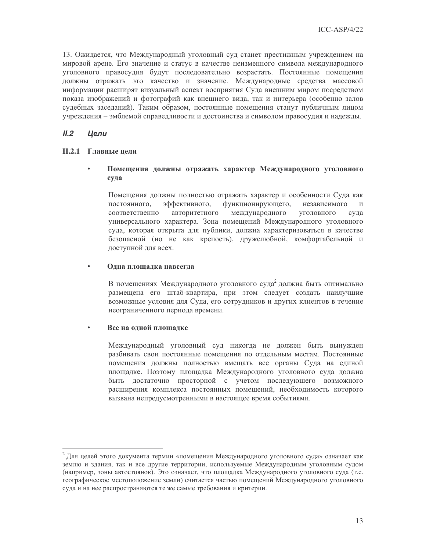13. Ожидается, что Международный уголовный суд станет престижным учреждением на мировой арене. Его значение и статус в качестве неизменного символа международного уголовного правосудия будут последовательно возрастать. Постоянные помещения должны отражать это качество и значение. Международные средства массовой информации расширят визуальный аспект восприятия Суда внешним миром посредством показа изображений и фотографий как внешнего вида, так и интерьера (особенно залов судебных заседаний). Таким образом, постоянные помещения станут публичным лицом учреждения - эмблемой справедливости и достоинства и символом правосудия и надежды.

### $II.2$ Цели

 $\bullet$ 

### **II.2.1** Главные цели

### $\bullet$ Помещения должны отражать характер Международного уголовного суда

Помещения должны полностью отражать характер и особенности Суда как эффективного, функционирующего, независимого постоянного.  $\mathbf{u}$ международного соответственно авторитетного **VГОЛОВНОГО** суда универсального характера. Зона помещений Международного уголовного суда, которая открыта для публики, должна характеризоваться в качестве безопасной (но не как крепость), дружелюбной, комфортабельной и доступной для всех.

### Олна плошалка навсегла

В помещениях Международного уголовного суда<sup>2</sup> должна быть оптимально размещена его штаб-квартира, при этом следует создать наилучшие возможные условия для Суда, его сотрудников и других клиентов в течение неограниченного периода времени.

### Все на одной плошалке

Международный уголовный суд никогда не должен быть вынужден разбивать свои постоянные помещения по отдельным местам. Постоянные помещения должны полностью вмещать все органы Суда на единой площадке. Поэтому площадка Международного уголовного суда должна быть достаточно просторной с учетом последующего возможного расширения комплекса постоянных помещений, необходимость которого вызвана непредусмотренными в настоящее время событиями.

 $2$  Для целей этого документа термин «помещения Международного уголовного суда» означает как землю и здания, так и все другие территории, используемые Международным уголовным судом (например, зоны автостоянок). Это означает, что площадка Международного уголовного суда (т.е. географическое местоположение земли) считается частью помещений Международного уголовного суда и на нее распространяются те же самые требования и критерии.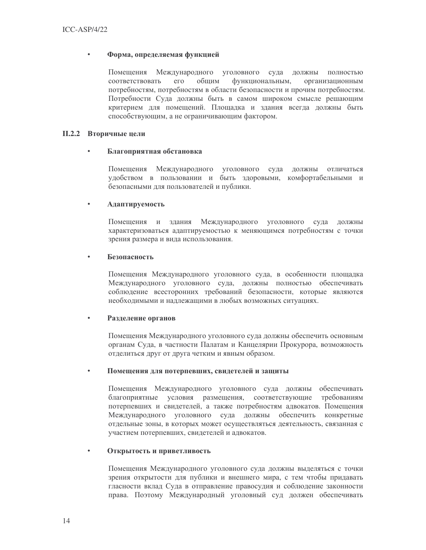#### $\bullet$ Форма, определяемая функцией

Помещения Международного уголовного суда должны полностью  $ero$ общим функциональным, организационным соответствовать потребностям, потребностям в области безопасности и прочим потребностям. Потребности Суда должны быть в самом широком смысле решающим критерием для помещений. Площадка и здания всегда должны быть способствующим, а не ограничивающим фактором.

### **II.2.2** Вторичные цели

#### $\bullet$ Благоприятная обстановка

Помещения Международного уголовного суда должны отличаться удобством в пользовании и быть здоровыми, комфортабельными и безопасными для пользователей и публики.

#### **Адаптируемость**  $\bullet$

Помещения и здания Международного уголовного суда должны характеризоваться адаптируемостью к меняющимся потребностям с точки зрения размера и вида использования.

#### Безопасность  $\bullet$

Помещения Международного уголовного суда, в особенности площадка Международного уголовного суда, должны полностью обеспечивать соблюдение всесторонних требований безопасности, которые являются необходимыми и надлежащими в любых возможных ситуациях.

#### $\bullet$ Разделение органов

Помещения Международного уголовного суда должны обеспечить основным органам Суда, в частности Палатам и Канцелярии Прокурора, возможность отделиться друг от друга четким и явным образом.

#### $\bullet$ Помещения для потерпевших, свидетелей и защиты

Помещения Международного уголовного суда должны обеспечивать соответствующие требованиям благоприятные условия размещения, потерпевших и свидетелей, а также потребностям адвокатов. Помещения Международного уголовного суда должны обеспечить конкретные отдельные зоны, в которых может осуществляться деятельность, связанная с участием потерпевших, свидетелей и адвокатов.

### Открытость и приветливость

Помещения Международного уголовного суда должны выделяться с точки зрения открытости для публики и внешнего мира, с тем чтобы придавать гласности вклад Суда в отправление правосудия и соблюдение законности права. Поэтому Международный уголовный суд должен обеспечивать

 $\bullet$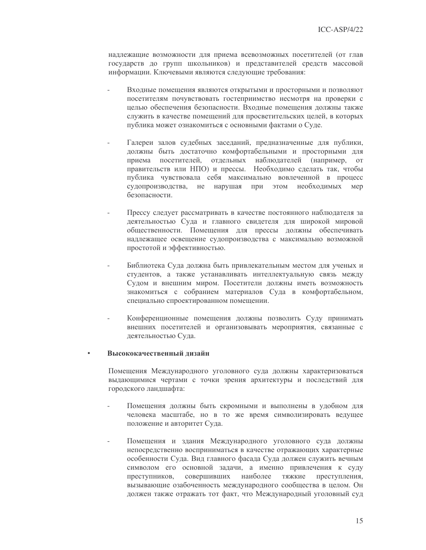надлежащие возможности для приема всевозможных посетителей (от глав государств до групп школьников) и представителей средств массовой информации. Ключевыми являются следующие требования:

- Входные помещения являются открытыми и просторными и позволяют посетителям почувствовать гостеприимство несмотря на проверки с целью обеспечения безопасности. Входные помещения должны также служить в качестве помещений для просветительских целей, в которых публика может ознакомиться с основными фактами о Суде.
- Галереи залов судебных заседаний, предназначенные для публики, должны быть достаточно комфортабельными и просторными для приема посетителей, отдельных наблюдателей (например,  $O<sub>T</sub>$ правительств или НПО) и прессы. Необходимо сделать так, чтобы публика чувствовала себя максимально вовлеченной в процесс судопроизводства, не нарушая при этом необходимых мер безопасности.
- Прессу следует рассматривать в качестве постоянного наблюдателя за деятельностью Суда и главного свидетеля для широкой мировой общественности. Помещения для прессы должны обеспечивать надлежащее освещение судопроизводства с максимально возможной простотой и эффективностью.
- Библиотека Суда должна быть привлекательным местом для ученых и студентов, а также устанавливать интеллектуальную связь между Судом и внешним миром. Посетители должны иметь возможность знакомиться с собранием материалов Суда в комфортабельном, специально спроектированном помещении.
- Конференционные помещения должны позволить Суду принимать внешних посетителей и организовывать мероприятия, связанные с деятельностью Суда.

### Высококачественный лизайн

Помещения Международного уголовного суда должны характеризоваться выдающимися чертами с точки зрения архитектуры и последствий для городского ландшафта:

- Помещения должны быть скромными и выполнены в удобном для человека масштабе, но в то же время символизировать ведущее положение и авторитет Суда.
- Помещения и здания Международного уголовного суда должны непосредственно восприниматься в качестве отражающих характерные особенности Суда. Вид главного фасада Суда должен служить вечным символом его основной задачи, а именно привлечения к суду преступников, совершивших наиболее тяжкие преступления, вызывающие озабоченность международного сообщества в целом. Он должен также отражать тот факт, что Международный уголовный суд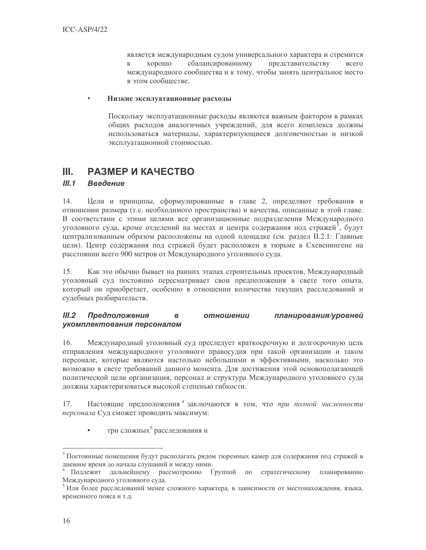$\bullet$ 

является международным судом универсального характера и стремится сбалансированному представительству хорошо всего  $\mathbb{R}^n$ международного сообщества и к тому, чтобы занять центральное место в этом сообществе.

### Низкие эксплуатационные расходы

Поскольку эксплуатационные расходы являются важным фактором в рамках общих расходов аналогичных учреждений, для всего комплекса должны использоваться материалы, характеризующиеся долговечностью и низкой эксплуатационной стоимостью.

### Ш. РАЗМЕР И КАЧЕСТВО

### $III.1$ **Введение**

 $14.$ Цели и принципы, сформулированные в главе 2, определяют требования в отношении размера (т.е. необходимого пространства) и качества, описанные в этой главе. В соответствии с этими целями все организационные подразделения Международного уголовного суда, кроме отделений на местах и центра содержания под стражей<sup>3</sup>, будут централизованным образом расположены на одной площадке (см. раздел II.2.1: Главные цели). Центр содержания под стражей будет расположен в тюрьме в Схевенингене на расстоянии всего 900 метров от Международного уголовного суда.

15. Как это обычно бывает на ранних этапах строительных проектов, Международный уголовный суд постоянно пересматривает свои предположения в свете того опыта, который он приобретает, особенно в отношении количества текущих расследований и судебных разбирательств.

#### $III.2$ Предположения планирования/уровней  $\mathbf{e}$ отношении укомплектования персоналом

Международный уголовный суд преследует краткосрочную и долгосрочную цель  $16.$ отправления международного уголовного правосудия при такой организации и таком персонале, которые являются настолько небольшими и эффективными, насколько это возможно в свете требований данного момента. Для достижения этой основополагающей политической цели организация, персонал и структура Международного уголовного суда должны характеризоваться высокой степенью гибкости.

Настоящие предположения<sup>4</sup> заключаются в том, что при полной численности 17. персонала Суд сможет проводить максимум:

три сложных<sup>5</sup> расследования и  $\bullet$ 

<sup>&</sup>lt;sup>3</sup> Постоянные помещения будут располагать рядом тюремных камер для содержания под стражей в дневное время до начала слушаний и между ними.

Подлежит дальнейшему рассмотрению Группой по стратегическому планированию Международного уголовного суда.

<sup>&</sup>lt;sup>5</sup> Или более расследований менее сложного характера, в зависимости от местонахождения, языка, временного пояса и т.д.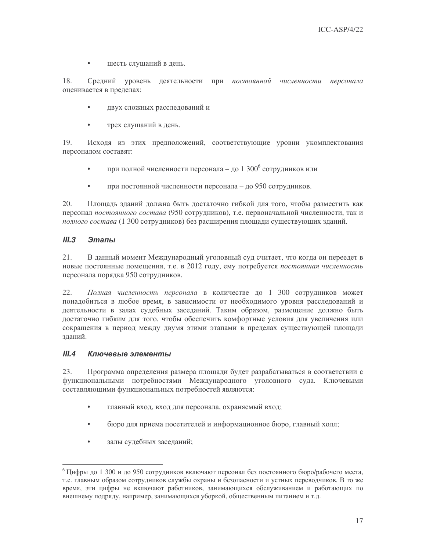$\bullet$ шесть слушаний в день.

18. деятельности при постоянной численности персонала Средний уровень оценивается в пределах:

- $\bullet$ двух сложных расследований и
- $\bullet$ трех слушаний в день.

19. Исходя из этих предположений, соответствующие уровни укомплектования персоналом составят:

- при полной численности персонала до 1 300<sup>6</sup> сотрудников или  $\bullet$
- $\bullet$ при постоянной численности персонала - до 950 сотрудников.

20. Площадь зданий должна быть достаточно гибкой для того, чтобы разместить как персонал постоянного состава (950 сотрудников), т.е. первоначальной численности, так и полного состава (1 300 сотрудников) без расширения площади существующих зданий.

#### $III.3$ Этапы

 $21.$ В данный момент Международный уголовный суд считает, что когда он переедет в новые постоянные помещения, т.е. в 2012 году, ему потребуется постоянная численность персонала порядка 950 сотрудников.

 $22$ Полная численность персонала в количестве до 1 300 сотрудников может понадобиться в любое время, в зависимости от необходимого уровня расследований и деятельности в залах судебных заседаний. Таким образом, размещение должно быть достаточно гибким для того, чтобы обеспечить комфортные условия для увеличения или сокращения в период между двумя этими этапами в пределах существующей площади зданий.

#### III.4 Ключевые элементы

23. Программа определения размера площади будет разрабатываться в соответствии с функциональными потребностями Международного уголовного суда. Ключевыми составляющими функциональных потребностей являются:

- $\bullet$ главный вход, вход для персонала, охраняемый вход;
- $\bullet$ бюро для приема посетителей и информационное бюро, главный холл;
- $\bullet$ залы судебных заседаний;

 $6$  Цифры до 1 300 и до 950 сотрудников включают персонал без постоянного бюро/рабочего места, т.е. главным образом сотрудников службы охраны и безопасности и устных переводчиков. В то же время, эти цифры не включают работников, занимающихся обслуживанием и работающих по внешнему подряду, например, занимающихся уборкой, общественным питанием и т.д.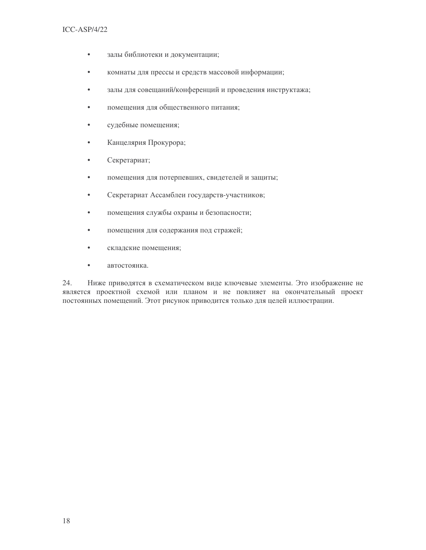### $ICC-ASP/4/22$

- $\bullet$ залы библиотеки и документации;
- $\bullet$ комнаты для прессы и средств массовой информации;
- $\bullet$ залы для совещаний/конференций и проведения инструктажа;
- $\bullet$ помещения для общественного питания;
- $\bullet$ судебные помещения;
- $\bullet$ Канцелярия Прокурора;
- Секретариат;  $\bullet$
- $\bullet$ помещения для потерпевших, свидетелей и защиты;
- $\bullet$ Секретариат Ассамблеи государств-участников;
- $\bullet$ помещения службы охраны и безопасности;
- $\bullet$ помещения для содержания под стражей;
- складские помещения;  $\bullet$
- $\bullet$ автостоянка.

24. Ниже приводятся в схематическом виде ключевые элементы. Это изображение не является проектной схемой или планом и не повлияет на окончательный проект постоянных помещений. Этот рисунок приводится только для целей иллюстрации.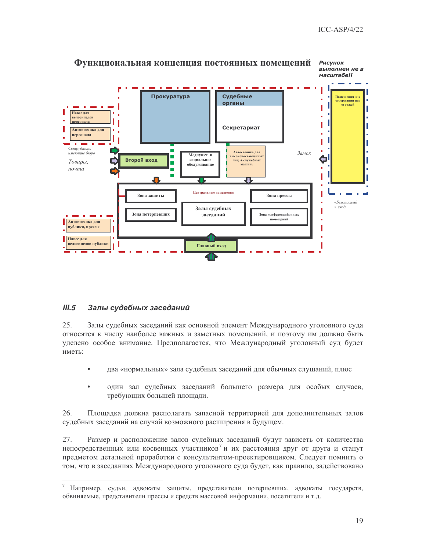

#### $III.5$ Залы судебных заседаний

25. Залы судебных заседаний как основной элемент Международного уголовного суда относятся к числу наиболее важных и заметных помещений, и поэтому им должно быть уделено особое внимание. Предполагается, что Международный уголовный суд будет иметь:

- два «нормальных» зала судебных заседаний для обычных слушаний, плюс
- один зал судебных заседаний большего размера для особых случаев,  $\bullet$ требующих большей площади.

26. Площадка должна располагать запасной территорией для дополнительных залов судебных заседаний на случай возможного расширения в будущем.

27. Размер и расположение залов судебных заседаний будут зависеть от количества непосредственных или косвенных участников<sup>7</sup> и их расстояния друг от друга и станут предметом детальной проработки с консультантом-проектировщиком. Следует помнить о том, что в заседаниях Международного уголовного суда будет, как правило, задействовано

 $\boldsymbol{7}$ Например, судьи, адвокаты защиты, представители потерпевших, адвокаты государств, обвиняемые, представители прессы и средств массовой информации, посетители и т.д.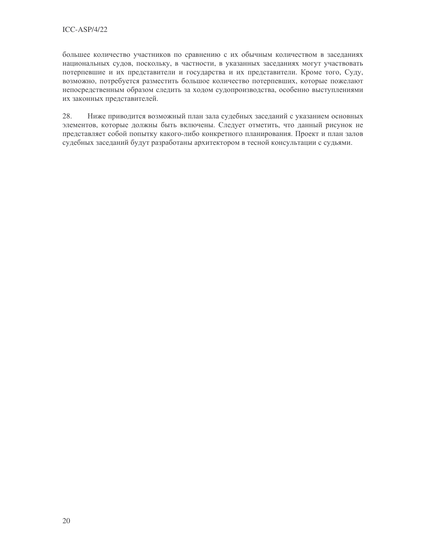большее количество участников по сравнению с их обычным количеством в заседаниях национальных судов, поскольку, в частности, в указанных заседаниях могут участвовать потерпевшие и их представители и государства и их представители. Кроме того, Суду, возможно, потребуется разместить большое количество потерпевших, которые пожелают непосредственным образом следить за ходом судопроизводства, особенно выступлениями их законных представителей.

Ниже приводится возможный план зала судебных заседаний с указанием основных 28. элементов, которые должны быть включены. Следует отметить, что данный рисунок не представляет собой попытку какого-либо конкретного планирования. Проект и план залов судебных заседаний будут разработаны архитектором в тесной консультации с судьями.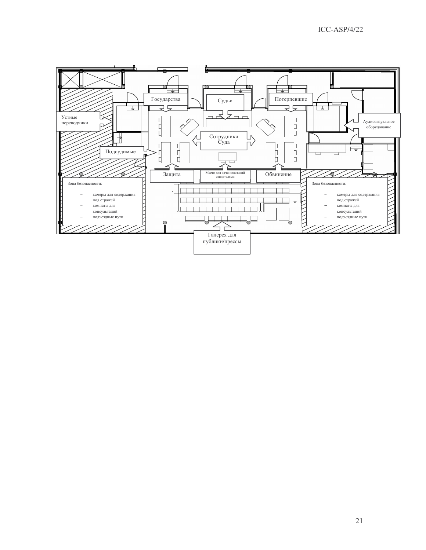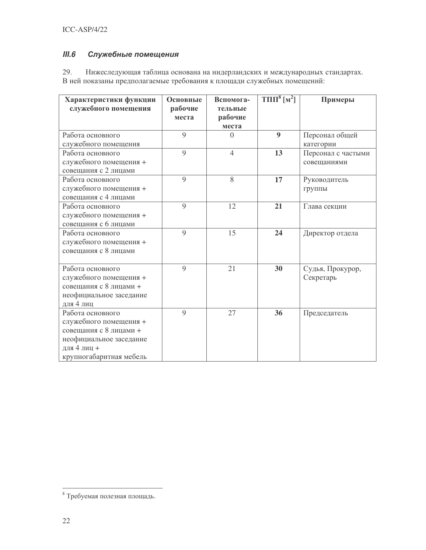### Служебные помещения  $III.6$

Нижеследующая таблица основана на нидерландских и международных стандартах. 29. В ней показаны предполагаемые требования к площади служебных помещений:

| Характеристики функции  | Основные | Вспомога-      | THH <sup>8</sup> [M <sup>2</sup> ] | Примеры            |
|-------------------------|----------|----------------|------------------------------------|--------------------|
| служебного помещения    | рабочие  | тельные        |                                    |                    |
|                         | места    | рабочие        |                                    |                    |
|                         |          | места          |                                    |                    |
| Работа основного        | 9        | $\Omega$       | $\boldsymbol{9}$                   | Персонал общей     |
| служебного помещения    |          |                |                                    | категории          |
| Работа основного        | 9        | $\overline{4}$ | 13                                 | Персонал с частыми |
| служебного помещения +  |          |                |                                    | совещаниями        |
| совещания с 2 лицами    |          |                |                                    |                    |
| Работа основного        | 9        | 8              | 17                                 | Руководитель       |
| служебного помещения +  |          |                |                                    | группы             |
| совещания с 4 лицами    |          |                |                                    |                    |
| Работа основного        | 9        | 12             | 21                                 | Глава секции       |
| служебного помещения +  |          |                |                                    |                    |
| совещания с 6 лицами    |          |                |                                    |                    |
| Работа основного        | 9        | 15             | 24                                 | Директор отдела    |
| служебного помещения +  |          |                |                                    |                    |
| совещания с 8 лицами    |          |                |                                    |                    |
|                         |          |                |                                    |                    |
| Работа основного        | 9        | 21             | 30                                 | Судья, Прокурор,   |
| служебного помещения +  |          |                |                                    | Секретарь          |
| совещания с 8 лицами +  |          |                |                                    |                    |
| неофициальное заседание |          |                |                                    |                    |
| для 4 лиц               |          |                |                                    |                    |
| Работа основного        | 9        | 27             | 36                                 | Председатель       |
| служебного помещения +  |          |                |                                    |                    |
| совещания с 8 лицами +  |          |                |                                    |                    |
| неофициальное заседание |          |                |                                    |                    |
| для 4 лиц +             |          |                |                                    |                    |
| крупногабаритная мебель |          |                |                                    |                    |

 $^8$  Требуемая полезная площадь.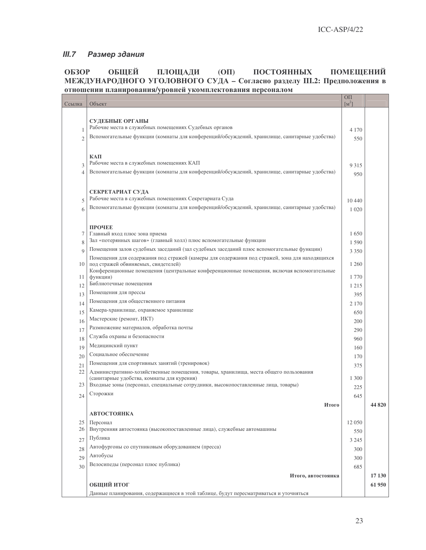### Размер здания  $III.7$

#### ОБЩЕЙ ПЛОЩАДИ ПОСТОЯННЫХ ПОМЕЩЕНИЙ **ОБЗОР**  $(OII)$ МЕЖДУНАРОДНОГО УГОЛОВНОГО СУДА - Согласно разделу III.2: Предположения в отношении планирования/уровней укомплектования персоналом L,

| Ссылка         | Объект                                                                                                                         | <b>OII</b><br>$[M^2]$ |        |
|----------------|--------------------------------------------------------------------------------------------------------------------------------|-----------------------|--------|
|                |                                                                                                                                |                       |        |
|                | СУДЕБНЫЕ ОРГАНЫ                                                                                                                |                       |        |
| 1              | Рабочие места в служебных помещениях Судебных органов                                                                          | 4 1 7 0               |        |
| $\overline{2}$ | Вспомогательные функции (комнаты для конференций/обсуждений, хранилище, санитарные удобства)                                   | 550                   |        |
|                |                                                                                                                                |                       |        |
|                | КАП                                                                                                                            |                       |        |
| 3              | Рабочие места в служебных помещениях КАП                                                                                       | 9 3 1 5               |        |
| $\overline{4}$ | Вспомогательные функции (комнаты для конференций/обсуждений, хранилище, санитарные удобства)                                   | 950                   |        |
|                |                                                                                                                                |                       |        |
|                | СЕКРЕТАРИАТ СУДА                                                                                                               |                       |        |
| 5              | Рабочие места в служебных помещениях Секретариата Суда                                                                         | 10 4 40               |        |
| 6              | Вспомогательные функции (комнаты для конференций/обсуждений, хранилище, санитарные удобства)                                   | 1 0 2 0               |        |
|                |                                                                                                                                |                       |        |
| 7              | ПРОЧЕЕ<br>Главный вход плюс зона приема                                                                                        | 1650                  |        |
| 8              | Зал «потерянных шагов» (главный холл) плюс вспомогательные функции                                                             | 1 5 9 0               |        |
| $\mathbf Q$    | Помещения залов судебных заседаний (зал судебных заседаний плюс вспомогательные функции)                                       | 3 3 5 0               |        |
|                | Помещения для содержания под стражей (камеры для содержания под стражей, зона для находящихся                                  |                       |        |
| 10             | под стражей обвиняемых, свидетелей)                                                                                            | 1 260                 |        |
| 11             | Конференционные помещения (центральные конференционные помещения, включая вспомогательные<br>функции)                          | 1770                  |        |
| 12             | Библиотечные помещения                                                                                                         | 1 2 1 5               |        |
| 13             | Помещения для прессы                                                                                                           | 395                   |        |
| 14             | Помещения для общественного питания                                                                                            | 2 1 7 0               |        |
| 15             | Камера-хранилище, охраняемое хранилище                                                                                         | 650                   |        |
| 16             | Мастерские (ремонт, ИКТ)                                                                                                       | 200                   |        |
| 17             | Размножение материалов, обработка почты                                                                                        | 290                   |        |
| 18             | Служба охраны и безопасности                                                                                                   | 960                   |        |
| 19             | Медицинский пункт                                                                                                              | 160                   |        |
| 20             | Социальное обеспечение                                                                                                         | 170                   |        |
| 21             | Помещения для спортивных занятий (тренировок)                                                                                  | 375                   |        |
| 22             | Административно-хозяйственные помещения, товары, хранилища, места общего пользования                                           |                       |        |
| 23             | (санитарные удобства, комнаты для курения)<br>Входные зоны (персонал, специальные сотрудники, высокопоставленные лица, товары) | 1 300                 |        |
|                | Сторожки                                                                                                                       | 225                   |        |
| 24             |                                                                                                                                | 645                   |        |
|                | Итого<br>АВТОСТОЯНКА                                                                                                           |                       | 44 820 |
| 25             |                                                                                                                                | 12 050                |        |
| 26             | Персонал<br>Внутренняя автостоянка (высокопоставленные лица), служебные автомашины                                             | 550                   |        |
| 27             | Публика                                                                                                                        | 3 2 4 5               |        |
| 28             | Автофургоны со спутниковым оборудованием (пресса)                                                                              | 300                   |        |
| 29             | Автобусы                                                                                                                       | 300                   |        |
| 30             | Велосипеды (персонал плюс публика)                                                                                             | 685                   |        |
|                | Итого, автостоянка                                                                                                             |                       | 17 130 |
|                | ОБЩИЙ ИТОГ                                                                                                                     |                       |        |
|                | Данные планирования, содержащиеся в этой таблице, будут пересматриваться и уточняться                                          |                       | 61950  |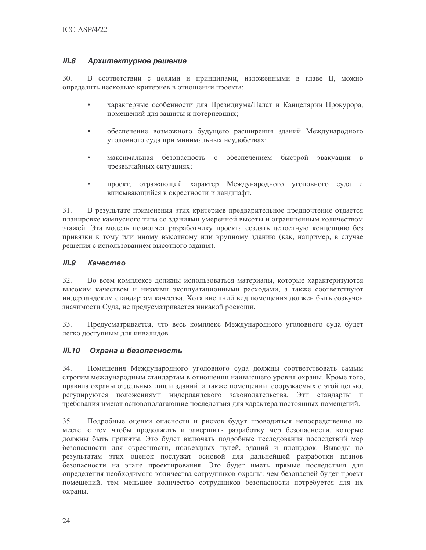### $III.8$ Архитектурное решение

30. В соответствии с целями и принципами, изложенными в главе II, можно определить несколько критериев в отношении проекта:

- $\bullet$ характерные особенности для Президиума/Палат и Канцелярии Прокурора, помещений для защиты и потерпевших;
- $\bullet$ обеспечение возможного будущего расширения зданий Международного уголовного суда при минимальных неудобствах;
- $\bullet$ максимальная безопасность с обеспечением быстрой эвакуании в чрезвычайных ситуациях;
- $\bullet$ проект, отражающий характер Международного уголовного суда и вписывающийся в окрестности и ландшафт.

 $31.$ В результате применения этих критериев предварительное предпочтение отдается планировке кампусного типа со зданиями умеренной высоты и ограниченным количеством этажей. Эта модель позволяет разработчику проекта создать целостную концепцию без привязки к тому или иному высотному или крупному зданию (как, например, в случае решения с использованием высотного злания).

#### $III.9$ Качество

32. Во всем комплексе должны использоваться материалы, которые характеризуются высоким качеством и низкими эксплуатационными расходами, а также соответствуют нидерландским стандартам качества. Хотя внешний вид помещения должен быть созвучен значимости Суда, не предусматривается никакой роскоши.

33. Предусматривается, что весь комплекс Международного уголовного суда будет легко доступным для инвалидов.

#### **III.10** Охрана и безопасность

34. Помещения Международного уголовного суда должны соответствовать самым строгим международным стандартам в отношении наивысшего уровня охраны. Кроме того, правила охраны отдельных лиц и зданий, а также помещений, сооружаемых с этой целью, регулируются положениями нидерландского законодательства. Эти стандарты и требования имеют основополагающие последствия для характера постоянных помещений.

35. Подробные оценки опасности и рисков будут проводиться непосредственно на месте, с тем чтобы продолжить и завершить разработку мер безопасности, которые должны быть приняты. Это будет включать подробные исследования последствий мер безопасности для окрестности, подъездных путей, зданий и площадок. Выводы по результатам этих оценок послужат основой для дальнейшей разработки планов безопасности на этапе проектирования. Это будет иметь прямые последствия для определения необходимого количества сотрудников охраны: чем безопасней будет проект помещений, тем меньшее количество сотрудников безопасности потребуется для их охраны.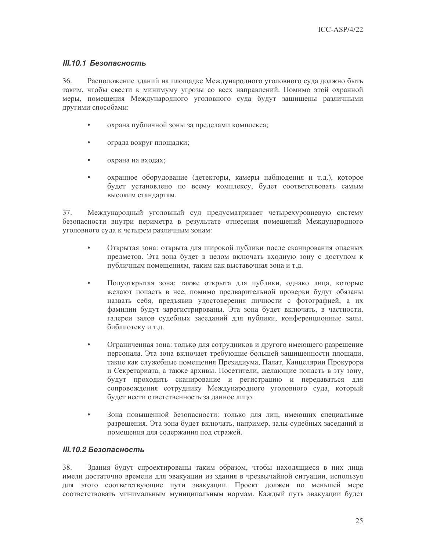### **III.10.1 Безопасность**

36. Расположение зданий на площадке Международного уголовного суда должно быть таким, чтобы свести к минимуму угрозы со всех направлений. Помимо этой охранной меры, помещения Международного уголовного суда будут защищены различными другими способами:

- $\bullet$ охрана публичной зоны за пределами комплекса;
- ограда вокруг площадки;  $\bullet$
- $\bullet$ охрана на входах;
- охранное оборудование (детекторы, камеры наблюдения и т.д.), которое  $\bullet$ будет установлено по всему комплексу, будет соответствовать самым высоким стандартам.

37. Международный уголовный суд предусматривает четырехуровневую систему безопасности внутри периметра в результате отнесения помещений Международного уголовного суда к четырем различным зонам:

- Открытая зона: открыта для широкой публики после сканирования опасных  $\bullet$ предметов. Эта зона будет в целом включать входную зону с доступом к публичным помещениям, таким как выставочная зона и т.д.
- Полуоткрытая зона: также открыта для публики, однако лица, которые  $\bullet$ желают попасть в нее, помимо предварительной проверки будут обязаны назвать себя, предъявив удостоверения личности с фотографией, а их фамилии будут зарегистрированы. Эта зона будет включать, в частности, галереи залов судебных заседаний для публики, конференционные залы, библиотеку и т.д.
- $\bullet$ Ограниченная зона: только для сотрудников и другого имеющего разрешение персонала. Эта зона включает требующие большей защищенности площади, такие как служебные помещения Президиума, Палат, Канцелярии Прокурора и Секретариата, а также архивы. Посетители, желающие попасть в эту зону, будут проходить сканирование и регистрацию и передаваться для сопровождения сотруднику Международного уголовного суда, который будет нести ответственность за данное лицо.
- Зона повышенной безопасности: только для лиц, имеющих специальные  $\bullet$ разрешения. Эта зона будет включать, например, залы судебных заседаний и помещения для содержания под стражей.

### **III.10.2 Безопасность**

38. Здания будут спроектированы таким образом, чтобы находящиеся в них лица имели достаточно времени для эвакуации из здания в чрезвычайной ситуации, используя для этого соответствующие пути эвакуации. Проект должен по меньшей мере соответствовать минимальным муниципальным нормам. Каждый путь эвакуации будет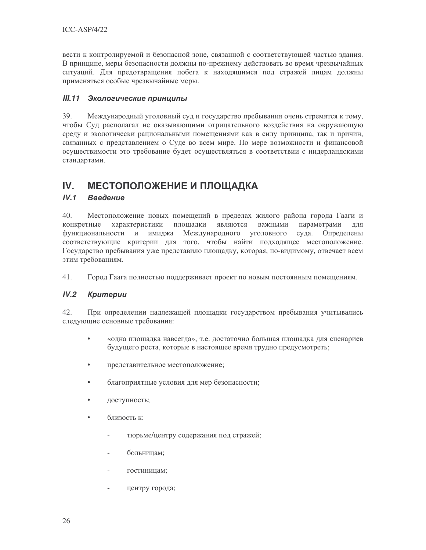вести к контролируемой и безопасной зоне, связанной с соответствующей частью здания. В принципе, меры безопасности должны по-прежнему действовать во время чрезвычайных ситуаций. Для предотвращения побега к находящимся под стражей лицам должны применяться особые чрезвычайные меры.

### III.11 Экологические принципы

39. Международный уголовный суд и государство пребывания очень стремятся к тому, чтобы Суд располагал не оказывающими отрицательного воздействия на окружающую среду и экологически рациональными помещениями как в силу принципа, так и причин, связанных с представлением о Суде во всем мире. По мере возможности и финансовой осуществимости это требование будет осуществляться в соответствии с нидерландскими стандартами.

### $IV_{-}$ **МЕСТОПОЛОЖЕНИЕ И ПЛОЩАДКА**

#### $IV.1$ Введение

40. Местоположение новых помещений в пределах жилого района города Гааги и конкретные характеристики площадки являются важными параметрами ДЛЯ функциональности и имиджа Международного уголовного суда. Определены соответствующие критерии для того, чтобы найти подходящее местоположение. Государство пребывания уже представило площадку, которая, по-видимому, отвечает всем этим требованиям.

41. Город Гаага полностью поддерживает проект по новым постоянным помещениям.

### $IV.2$ **Kpumepuu**

42. При определении надлежащей площадки государством пребывания учитывались следующие основные требования:

- $\bullet$ «одна площадка навсегда», т.е. достаточно большая площадка для сценариев будущего роста, которые в настоящее время трудно предусмотреть;
- $\bullet$ представительное местоположение;
- $\bullet$ благоприятные условия для мер безопасности;
- $\bullet$ доступность;
- близость к:  $\bullet$ 
	- тюрьме/центру содержания под стражей;
	- больницам:
	- гостиницам;  $\mathbf{r}$
	- центру города;  $\equiv$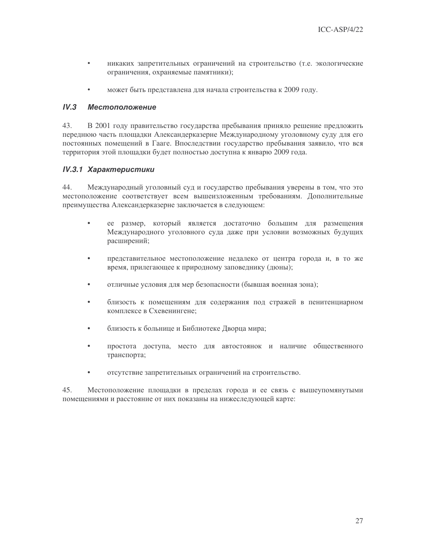- никаких запретительных ограничений на строительство (т.е. экологические  $\bullet$ ограничения, охраняемые памятники);
- $\bullet$ может быть представлена для начала строительства к 2009 году.

#### $IV.3$ **Местоположение**

43. В 2001 году правительство государства пребывания приняло решение предложить переднюю часть площадки Александерказерне Международному уголовному суду для его постоянных помещений в Гааге. Впоследствии государство пребывания заявило, что вся территория этой площадки будет полностью доступна к январю 2009 года.

### **IV.3.1 Характеристики**

44. Международный уголовный суд и государство пребывания уверены в том, что это местоположение соответствует всем вышеизложенным требованиям. Дополнительные преимущества Александерказерне заключается в следующем:

- $\bullet$ ее размер, который является достаточно большим для размещения Международного уголовного суда даже при условии возможных будущих расширений;
- $\bullet$ представительное местоположение недалеко от центра города и, в то же время, прилегающее к природному заповеднику (дюны);
- отличные условия для мер безопасности (бывшая военная зона);  $\bullet$
- близость к помещениям для содержания под стражей в пенитенциарном  $\bullet$ комплексе в Схевенингене:
- близость к больнице и Библиотеке Дворца мира;  $\bullet$
- $\bullet$ простота доступа, место для автостоянок и наличие общественного транспорта;
- отсутствие запретительных ограничений на строительство.  $\bullet$

45. Местоположение площадки в пределах города и ее связь с вышеупомянутыми помещениями и расстояние от них показаны на нижеследующей карте: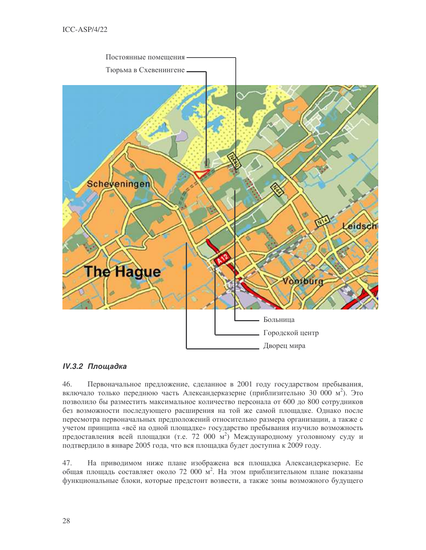

### **IV.3.2 Площадка**

46. Первоначальное предложение, сделанное в 2001 году государством пребывания, включало только переднюю часть Александерказерне (приблизительно 30 000 м<sup>2</sup>). Это позволило бы разместить максимальное количество персонала от 600 до 800 сотрудников без возможности последующего расширения на той же самой площадке. Однако после пересмотра первоначальных предположений относительно размера организации, а также с учетом принципа «всё на одной площадке» государство пребывания изучило возможность предоставления всей площадки (т.е. 72 000 м<sup>2</sup>) Международному уголовному суду и подтвердило в январе 2005 года, что вся площадка будет доступна к 2009 году.

47. На приводимом ниже плане изображена вся площадка Александерказерне. Ее общая площадь составляет около 72 000 м<sup>2</sup>. На этом приблизительном плане показаны функциональные блоки, которые предстоит возвести, а также зоны возможного будущего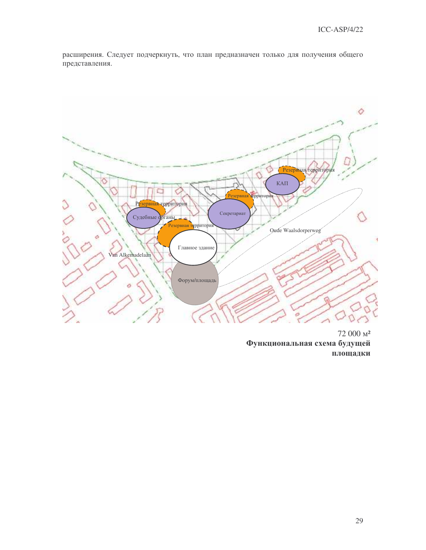

расширения. Следует подчеркнуть, что план предназначен только для получения общего представления.

72 000 M<sup>2</sup> Функциональная схема будущей площадки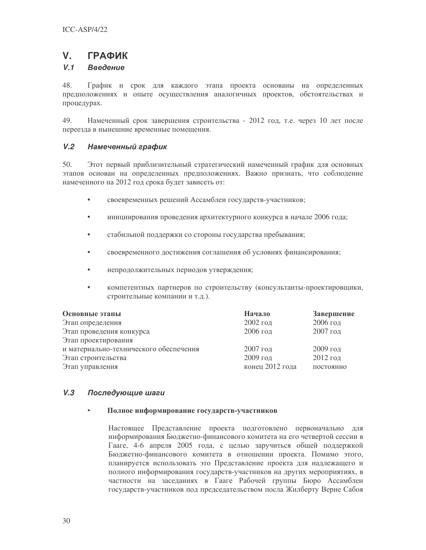### $V_{-}$ **ГРАФИК**

### $V.1$ Введение

48. График и срок для каждого этапа проекта основаны на определенных предположениях и опыте осуществления аналогичных проектов, обстоятельствах и процедурах.

49. Намеченный срок завершения строительства - 2012 год, т.е. через 10 лет после переезда в нынешние временные помещения.

### $V.2$ Намеченный график

50. Этот первый приблизительный стратегический намеченный график для основных этапов основан на определенных предположениях. Важно признать, что соблюдение намеченного на 2012 год срока будет зависеть от:

- $\bullet$ своевременных решений Ассамблеи государств-участников;
- инициирования проведения архитектурного конкурса в начале 2006 года;  $\bullet$
- $\bullet$ стабильной поддержки со стороны государства пребывания;
- своевременного достижения соглашения об условиях финансирования;  $\bullet$
- непродолжительных периодов утверждения;  $\bullet$
- компетентных партнеров по строительству (консультанты-проектировщики,  $\bullet$ строительные компании и т.д.).

| Основные этапы                         | Начало          | Завершение |  |
|----------------------------------------|-----------------|------------|--|
| Этап определения                       | $2002$ год      | $2006$ год |  |
| Этап проведения конкурса               | $2006$ год      | $2007$ год |  |
| Этап проектирования                    |                 |            |  |
| и материально-технического обеспечения | $2007$ год      | $2009$ год |  |
| Этап строительства                     | $2009$ год      | $2012$ год |  |
| Этап управления                        | конец 2012 года | ПОСТОЯННО  |  |

### $V<sub>1</sub>3$ Последующие шаги

#### Полное информирование государств-участников  $\bullet$

Настоящее Представление проекта подготовлено первоначально для информирования Бюджетно-финансового комитета на его четвертой сессии в Гааге, 4-6 апреля 2005 года, с целью заручиться общей поддержкой Бюджетно-финансового комитета в отношении проекта. Помимо этого, планируется использовать это Представление проекта для надлежащего и полного информирования государств-участников на других мероприятиях, в частности на заседаниях в Гааге Рабочей группы Бюро Ассамблеи государств-участников под председательством посла Жилберту Верне Сабоя